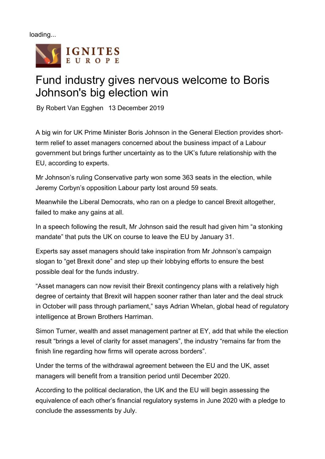loading...



## Fund industry gives nervous welcome to Boris Johnson's big election win

By Robert Van Egghen 13 December 2019

A big win for UK Prime Minister Boris Johnson in the General Election provides shortterm relief to asset managers concerned about the business impact of a Labour government but brings further uncertainty as to the UK's future relationship with the EU, according to experts.

Mr Johnson's ruling Conservative party won some 363 seats in the election, while Jeremy Corbyn's opposition Labour party lost around 59 seats.

Meanwhile the Liberal Democrats, who ran on a pledge to cancel Brexit altogether, failed to make any gains at all.

In a speech following the result, Mr Johnson said the result had given him "a stonking mandate" that puts the UK on course to leave the EU by January 31.

Experts say asset managers should take inspiration from Mr Johnson's campaign slogan to "get Brexit done" and step up their lobbying efforts to ensure the best possible deal for the funds industry.

"Asset managers can now revisit their Brexit contingency plans with a relatively high degree of certainty that Brexit will happen sooner rather than later and the deal struck in October will pass through parliament," says Adrian Whelan, global head of regulatory intelligence at Brown Brothers Harriman.

Simon Turner, wealth and asset management partner at EY, add that while the election result "brings a level of clarity for asset managers", the industry "remains far from the finish line regarding how firms will operate across borders".

Under the terms of the withdrawal agreement between the EU and the UK, asset managers will benefit from a transition period until December 2020.

According to the political declaration, the UK and the EU will begin assessing the equivalence of each other's financial regulatory systems in June 2020 with a pledge to conclude the assessments by July.